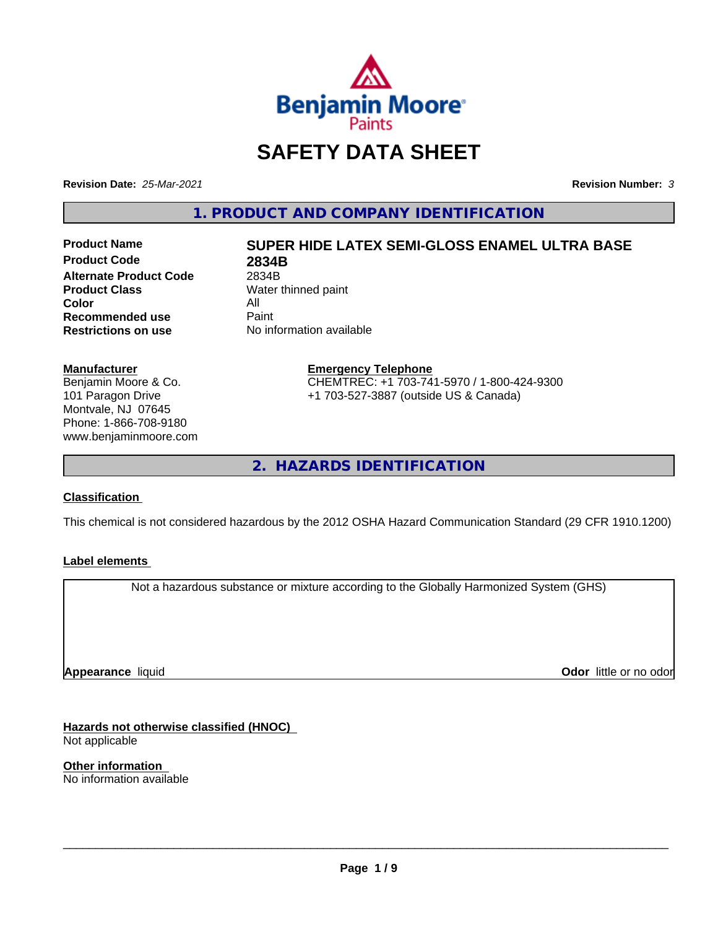

## **SAFETY DATA SHEET**

**Revision Date:** *25-Mar-2021* **Revision Number:** *3*

**1. PRODUCT AND COMPANY IDENTIFICATION**

**Product Code 2834B Alternate Product Code** 2834B<br> **Product Class** Water **Color** All<br> **Recommended use** Paint **Recommended use**<br>Restrictions on use

# **Product Name SUPER HIDE LATEX SEMI-GLOSS ENAMEL ULTRA BASE**

**Water thinned paint No information available** 

**Manufacturer**

Benjamin Moore & Co. 101 Paragon Drive Montvale, NJ 07645 Phone: 1-866-708-9180 www.benjaminmoore.com

#### **Emergency Telephone** CHEMTREC: +1 703-741-5970 / 1-800-424-9300 +1 703-527-3887 (outside US & Canada)

**2. HAZARDS IDENTIFICATION**

#### **Classification**

This chemical is not considered hazardous by the 2012 OSHA Hazard Communication Standard (29 CFR 1910.1200)

#### **Label elements**

Not a hazardous substance or mixture according to the Globally Harmonized System (GHS)

**Appearance** liquid

**Odor** little or no odor

**Hazards not otherwise classified (HNOC)** Not applicable

**Other information** No information available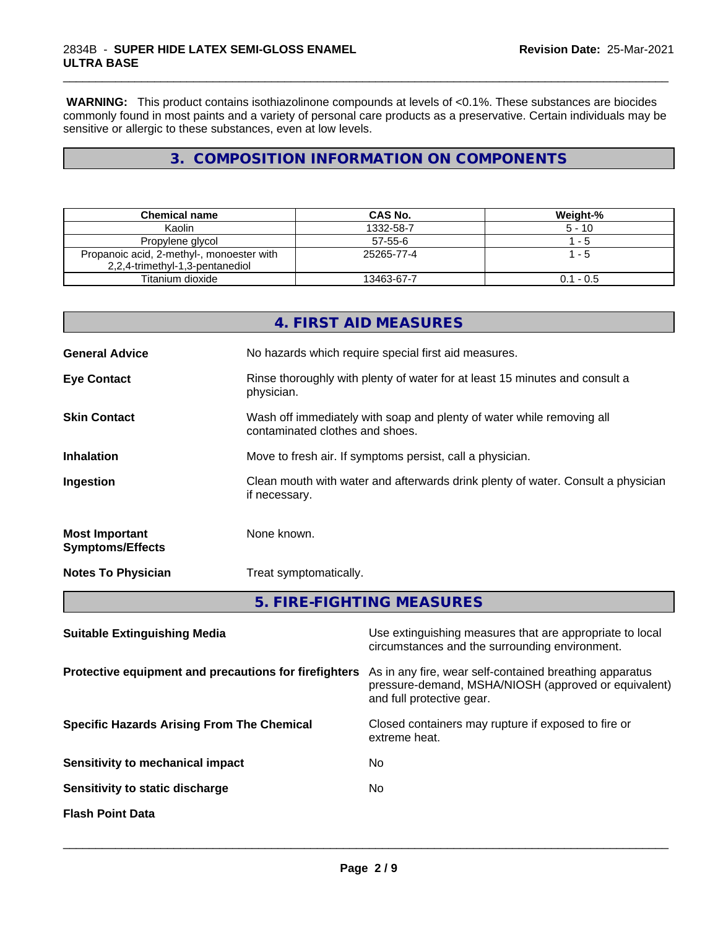**WARNING:** This product contains isothiazolinone compounds at levels of <0.1%. These substances are biocides commonly found in most paints and a variety of personal care products as a preservative. Certain individuals may be sensitive or allergic to these substances, even at low levels.

\_\_\_\_\_\_\_\_\_\_\_\_\_\_\_\_\_\_\_\_\_\_\_\_\_\_\_\_\_\_\_\_\_\_\_\_\_\_\_\_\_\_\_\_\_\_\_\_\_\_\_\_\_\_\_\_\_\_\_\_\_\_\_\_\_\_\_\_\_\_\_\_\_\_\_\_\_\_\_\_\_\_\_\_\_\_\_\_\_\_\_\_\_

## **3. COMPOSITION INFORMATION ON COMPONENTS**

| Chemical name                                                                | CAS No.       | Weight-%    |
|------------------------------------------------------------------------------|---------------|-------------|
| Kaolin                                                                       | 1332-58-7     | $5 - 10$    |
| Propylene glycol                                                             | $57 - 55 - 6$ | - 5         |
| Propanoic acid, 2-methyl-, monoester with<br>2,2,4-trimethyl-1,3-pentanediol | 25265-77-4    | - 5         |
| Titanium dioxide                                                             | 13463-67-7    | $0.1 - 0.5$ |

|                                                       |               | 4. FIRST AID MEASURES                                                                                                                        |  |  |
|-------------------------------------------------------|---------------|----------------------------------------------------------------------------------------------------------------------------------------------|--|--|
| <b>General Advice</b>                                 |               | No hazards which require special first aid measures.                                                                                         |  |  |
| <b>Eye Contact</b>                                    | physician.    | Rinse thoroughly with plenty of water for at least 15 minutes and consult a                                                                  |  |  |
| <b>Skin Contact</b>                                   |               | Wash off immediately with soap and plenty of water while removing all<br>contaminated clothes and shoes.                                     |  |  |
| <b>Inhalation</b>                                     |               | Move to fresh air. If symptoms persist, call a physician.                                                                                    |  |  |
| Ingestion                                             | if necessary. | Clean mouth with water and afterwards drink plenty of water. Consult a physician                                                             |  |  |
| <b>Most Important</b><br><b>Symptoms/Effects</b>      | None known.   |                                                                                                                                              |  |  |
| <b>Notes To Physician</b>                             |               | Treat symptomatically.                                                                                                                       |  |  |
|                                                       |               | 5. FIRE-FIGHTING MEASURES                                                                                                                    |  |  |
| <b>Suitable Extinguishing Media</b>                   |               | Use extinguishing measures that are appropriate to local<br>circumstances and the surrounding environment.                                   |  |  |
| Protective equipment and precautions for firefighters |               | As in any fire, wear self-contained breathing apparatus<br>pressure-demand, MSHA/NIOSH (approved or equivalent)<br>and full protective gear. |  |  |
| <b>Specific Hazards Arising From The Chemical</b>     |               | Closed containers may rupture if exposed to fire or<br>extreme heat.                                                                         |  |  |
| Sensitivity to mechanical impact                      |               | No.                                                                                                                                          |  |  |

**Sensitivity to static discharge** No

**Flash Point Data**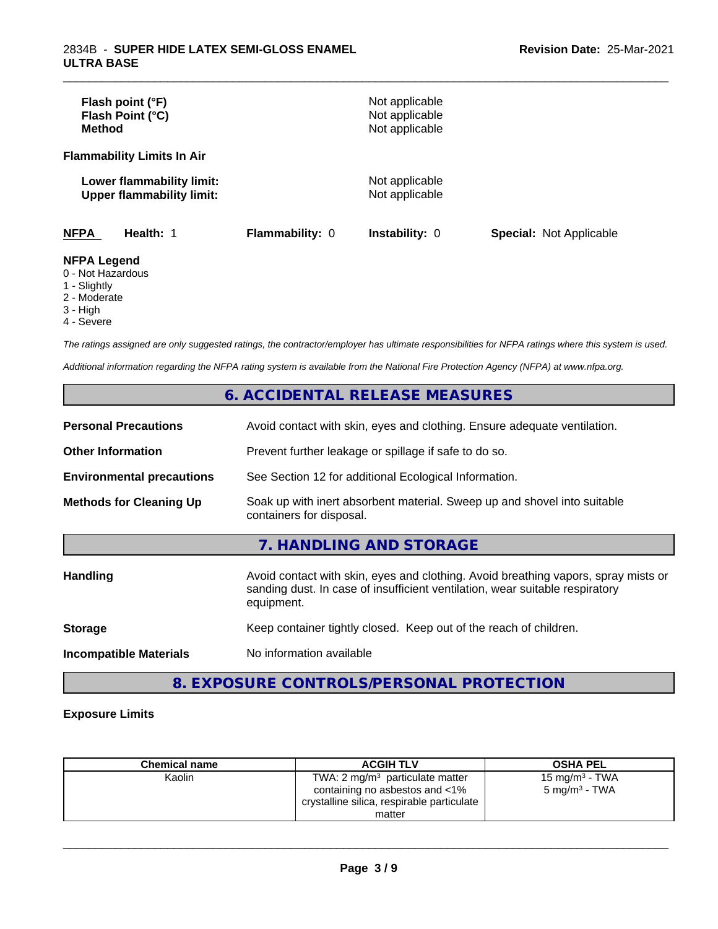| Flash point (°F)<br>Flash Point (°C)<br><b>Method</b>         |                        | Not applicable<br>Not applicable<br>Not applicable |                                |
|---------------------------------------------------------------|------------------------|----------------------------------------------------|--------------------------------|
| <b>Flammability Limits In Air</b>                             |                        |                                                    |                                |
| Lower flammability limit:<br><b>Upper flammability limit:</b> |                        | Not applicable<br>Not applicable                   |                                |
| <b>NFPA</b><br>Health: 1                                      | <b>Flammability: 0</b> | <b>Instability: 0</b>                              | <b>Special: Not Applicable</b> |
| <b>NFPA Legend</b><br>0 - Not Hazardous<br>1 - Slightly       |                        |                                                    |                                |

\_\_\_\_\_\_\_\_\_\_\_\_\_\_\_\_\_\_\_\_\_\_\_\_\_\_\_\_\_\_\_\_\_\_\_\_\_\_\_\_\_\_\_\_\_\_\_\_\_\_\_\_\_\_\_\_\_\_\_\_\_\_\_\_\_\_\_\_\_\_\_\_\_\_\_\_\_\_\_\_\_\_\_\_\_\_\_\_\_\_\_\_\_

#### 1 - Slightly

- 2 Moderate
- 3 High
- 4 Severe

*The ratings assigned are only suggested ratings, the contractor/employer has ultimate responsibilities for NFPA ratings where this system is used.*

*Additional information regarding the NFPA rating system is available from the National Fire Protection Agency (NFPA) at www.nfpa.org.*

## **6. ACCIDENTAL RELEASE MEASURES**

| <b>Personal Precautions</b>      | Avoid contact with skin, eyes and clothing. Ensure adequate ventilation.                                                                                                         |
|----------------------------------|----------------------------------------------------------------------------------------------------------------------------------------------------------------------------------|
| <b>Other Information</b>         | Prevent further leakage or spillage if safe to do so.                                                                                                                            |
| <b>Environmental precautions</b> | See Section 12 for additional Ecological Information.                                                                                                                            |
| <b>Methods for Cleaning Up</b>   | Soak up with inert absorbent material. Sweep up and shovel into suitable<br>containers for disposal.                                                                             |
|                                  | 7. HANDLING AND STORAGE                                                                                                                                                          |
| <b>Handling</b>                  | Avoid contact with skin, eyes and clothing. Avoid breathing vapors, spray mists or<br>sanding dust. In case of insufficient ventilation, wear suitable respiratory<br>equipment. |
| <b>Storage</b>                   | Keep container tightly closed. Keep out of the reach of children.                                                                                                                |
| <b>Incompatible Materials</b>    | No information available                                                                                                                                                         |

## **8. EXPOSURE CONTROLS/PERSONAL PROTECTION**

#### **Exposure Limits**

| <b>Chemical name</b> | <b>ACGIH TLV</b>                           | <b>OSHA PEL</b>           |
|----------------------|--------------------------------------------|---------------------------|
| Kaolin               | TWA: $2 \text{ mg/m}^3$ particulate matter | $15 \text{ mg/m}^3$ - TWA |
|                      | containing no asbestos and <1%             | $5 \text{ mg/m}^3$ - TWA  |
|                      | crystalline silica, respirable particulate |                           |
|                      | matter                                     |                           |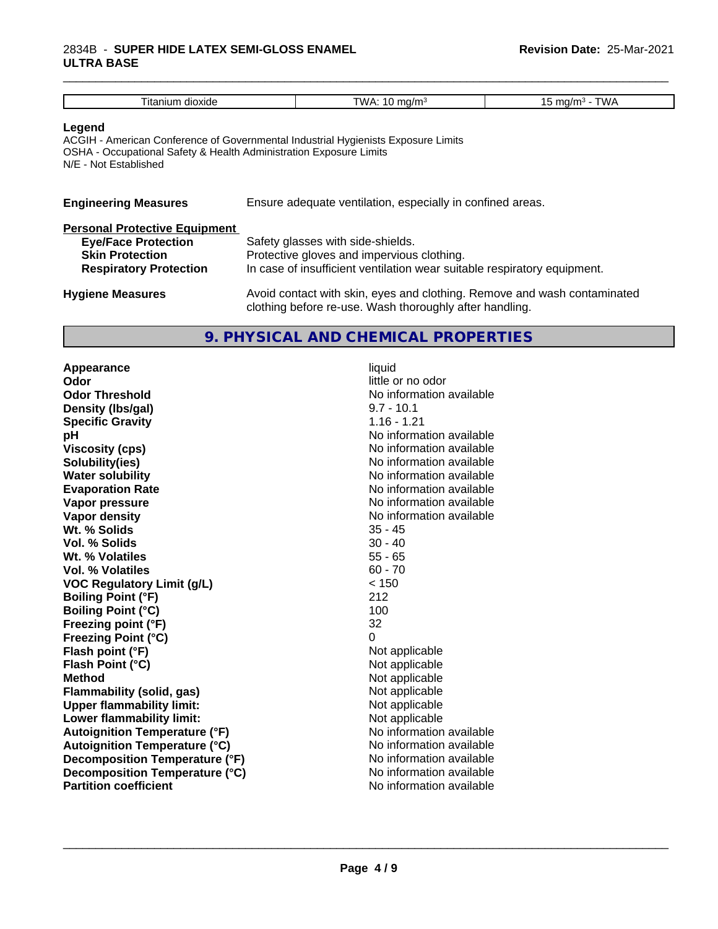#### 2834B - **SUPER HIDE LATEX SEMI-GLOSS ENAMEL ULTRA BASE**

| Titanium dioxide                                                                                                                                                                           | TWA: $10 \text{ mg/m}^3$                                                                                                                                    | 15 mg/m $3$ - TWA |
|--------------------------------------------------------------------------------------------------------------------------------------------------------------------------------------------|-------------------------------------------------------------------------------------------------------------------------------------------------------------|-------------------|
| Legend<br>ACGIH - American Conference of Governmental Industrial Hygienists Exposure Limits<br>OSHA - Occupational Safety & Health Administration Exposure Limits<br>N/E - Not Established |                                                                                                                                                             |                   |
| <b>Engineering Measures</b>                                                                                                                                                                | Ensure adequate ventilation, especially in confined areas.                                                                                                  |                   |
| <b>Personal Protective Equipment</b><br><b>Eye/Face Protection</b><br><b>Skin Protection</b><br><b>Respiratory Protection</b>                                                              | Safety glasses with side-shields.<br>Protective gloves and impervious clothing.<br>In case of insufficient ventilation wear suitable respiratory equipment. |                   |
|                                                                                                                                                                                            |                                                                                                                                                             |                   |

\_\_\_\_\_\_\_\_\_\_\_\_\_\_\_\_\_\_\_\_\_\_\_\_\_\_\_\_\_\_\_\_\_\_\_\_\_\_\_\_\_\_\_\_\_\_\_\_\_\_\_\_\_\_\_\_\_\_\_\_\_\_\_\_\_\_\_\_\_\_\_\_\_\_\_\_\_\_\_\_\_\_\_\_\_\_\_\_\_\_\_\_\_

| <b>Hygiene Measures</b> | Avoid contact with skin, eyes and clothing. Remove and wash contaminated |
|-------------------------|--------------------------------------------------------------------------|
|                         | clothing before re-use. Wash thoroughly after handling.                  |

#### **9. PHYSICAL AND CHEMICAL PROPERTIES**

**Appearance** liquid **Odor** little or no odor **Odor Threshold**<br> **Density (Ibs/gal)**<br> **Density (Ibs/gal)**<br> **No information available**<br>  $9.7 - 10.1$ **Density (Ibs/gal) Specific Gravity** 1.16 - 1.21 **pH** No information available **Viscosity (cps)** No information available **Solubility(ies)** No information available in the solution of the solution of the solution available in the solution of the solution of the solution of the solution of the solution of the solution of the solution of the so **Water solubility Water solubility Water solubility Water solubility Water solution Evaporation Rate No information available No information available Vapor pressure** No information available **Vapor density**<br> **We Solids**<br>
We Solids
25 - 45 **Wt. % Solids** 35 - 45 **Vol. % Solids** 30 - 40<br> **Wt. % Volatiles** 35 - 65 **Wt. % Volatiles** 55 - 65 **Vol. % Volatiles VOC Regulatory Limit (g/L)** < 150 **Boiling Point (°F)** 212 **Boiling Point (°C)** 100 **Freezing point (°F)** 32 **Freezing Point (°C)** 0 **Flash point (°F)**<br> **Flash Point (°C)**<br> **Flash Point (°C)**<br> **C Flash Point (°C) Method** Not applicable<br> **Flammability (solid, gas)** Not applicable Not applicable **Flammability (solid, gas)** Not applicable<br> **Upper flammability limit:** Not applicable **Upper flammability limit:**<br> **Lower flammability limit:** Not applicable Not applicable **Lower flammability limit:**<br> **Autoignition Temperature (°F)** Not applicable havailable **Autoignition Temperature (°F)**<br> **Autoignition Temperature (°C)** No information available **Autoignition Temperature (°C)**<br> **Decomposition Temperature (°F)** No information available **Decomposition Temperature (°F)** No information available<br> **Decomposition Temperature (°C)** No information available **Decomposition Temperature (°C) Partition coefficient** No information available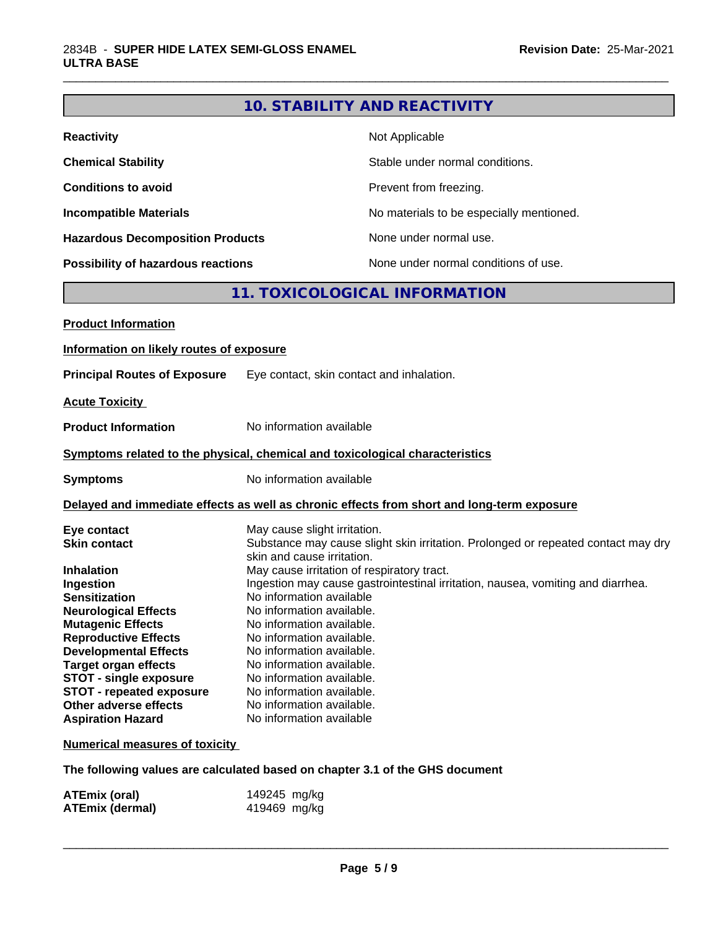## **10. STABILITY AND REACTIVITY**

\_\_\_\_\_\_\_\_\_\_\_\_\_\_\_\_\_\_\_\_\_\_\_\_\_\_\_\_\_\_\_\_\_\_\_\_\_\_\_\_\_\_\_\_\_\_\_\_\_\_\_\_\_\_\_\_\_\_\_\_\_\_\_\_\_\_\_\_\_\_\_\_\_\_\_\_\_\_\_\_\_\_\_\_\_\_\_\_\_\_\_\_\_

| <b>Reactivity</b>                       | Not Applicable                           |
|-----------------------------------------|------------------------------------------|
| <b>Chemical Stability</b>               | Stable under normal conditions.          |
| <b>Conditions to avoid</b>              | Prevent from freezing.                   |
| <b>Incompatible Materials</b>           | No materials to be especially mentioned. |
| <b>Hazardous Decomposition Products</b> | None under normal use.                   |
| Possibility of hazardous reactions      | None under normal conditions of use.     |

## **11. TOXICOLOGICAL INFORMATION**

| <b>Product Information</b>                                                                                                                                                                                                                                                                                                                         |                                                                                                                                                                                                                                                                                                                                                                                                                                                                                                                                                      |
|----------------------------------------------------------------------------------------------------------------------------------------------------------------------------------------------------------------------------------------------------------------------------------------------------------------------------------------------------|------------------------------------------------------------------------------------------------------------------------------------------------------------------------------------------------------------------------------------------------------------------------------------------------------------------------------------------------------------------------------------------------------------------------------------------------------------------------------------------------------------------------------------------------------|
| Information on likely routes of exposure                                                                                                                                                                                                                                                                                                           |                                                                                                                                                                                                                                                                                                                                                                                                                                                                                                                                                      |
| <b>Principal Routes of Exposure</b>                                                                                                                                                                                                                                                                                                                | Eye contact, skin contact and inhalation.                                                                                                                                                                                                                                                                                                                                                                                                                                                                                                            |
| <b>Acute Toxicity</b>                                                                                                                                                                                                                                                                                                                              |                                                                                                                                                                                                                                                                                                                                                                                                                                                                                                                                                      |
| <b>Product Information</b>                                                                                                                                                                                                                                                                                                                         | No information available                                                                                                                                                                                                                                                                                                                                                                                                                                                                                                                             |
|                                                                                                                                                                                                                                                                                                                                                    | Symptoms related to the physical, chemical and toxicological characteristics                                                                                                                                                                                                                                                                                                                                                                                                                                                                         |
| <b>Symptoms</b>                                                                                                                                                                                                                                                                                                                                    | No information available                                                                                                                                                                                                                                                                                                                                                                                                                                                                                                                             |
|                                                                                                                                                                                                                                                                                                                                                    | Delayed and immediate effects as well as chronic effects from short and long-term exposure                                                                                                                                                                                                                                                                                                                                                                                                                                                           |
| Eye contact<br><b>Skin contact</b><br><b>Inhalation</b><br>Ingestion<br><b>Sensitization</b><br><b>Neurological Effects</b><br><b>Mutagenic Effects</b><br><b>Reproductive Effects</b><br><b>Developmental Effects</b><br><b>Target organ effects</b><br><b>STOT - single exposure</b><br><b>STOT - repeated exposure</b><br>Other adverse effects | May cause slight irritation.<br>Substance may cause slight skin irritation. Prolonged or repeated contact may dry<br>skin and cause irritation.<br>May cause irritation of respiratory tract.<br>Ingestion may cause gastrointestinal irritation, nausea, vomiting and diarrhea.<br>No information available<br>No information available.<br>No information available.<br>No information available.<br>No information available.<br>No information available.<br>No information available.<br>No information available.<br>No information available. |
| <b>Aspiration Hazard</b><br><b>Numerical measures of toxicity</b>                                                                                                                                                                                                                                                                                  | No information available                                                                                                                                                                                                                                                                                                                                                                                                                                                                                                                             |
|                                                                                                                                                                                                                                                                                                                                                    |                                                                                                                                                                                                                                                                                                                                                                                                                                                                                                                                                      |

**The following values are calculated based on chapter 3.1 of the GHS document**

| <b>ATEmix (oral)</b>   | 149245 mg/kg |
|------------------------|--------------|
| <b>ATEmix (dermal)</b> | 419469 mg/kg |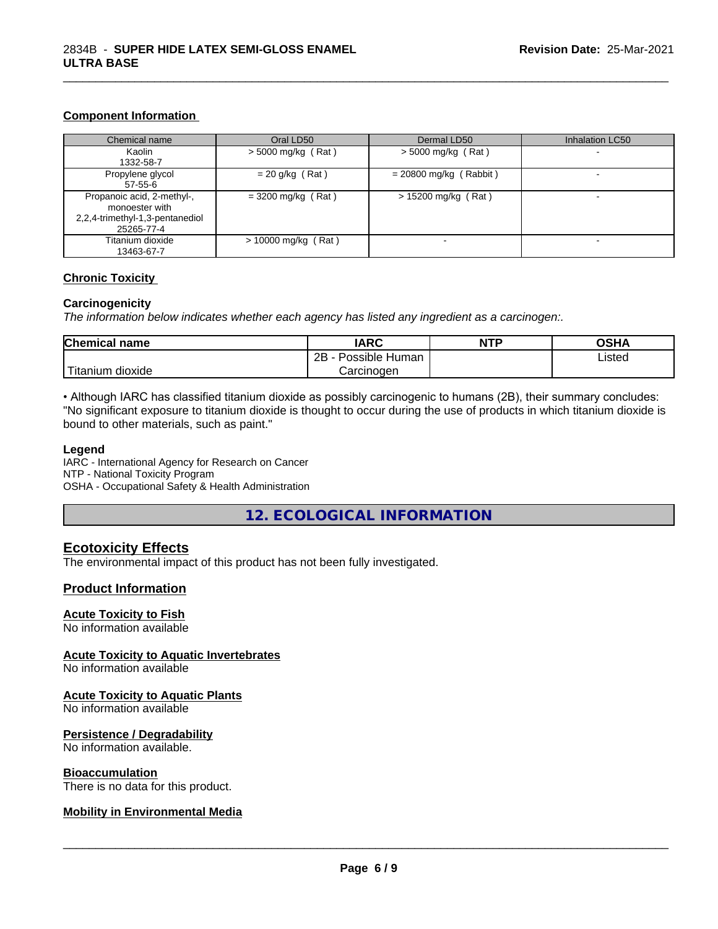#### **Component Information**

| Chemical name                   | Oral LD50             | Dermal LD50              | Inhalation LC50          |
|---------------------------------|-----------------------|--------------------------|--------------------------|
| Kaolin                          | $>$ 5000 mg/kg (Rat)  | $>$ 5000 mg/kg (Rat)     | $\overline{\phantom{0}}$ |
| 1332-58-7                       |                       |                          |                          |
| Propylene glycol                | $= 20$ g/kg (Rat)     | $= 20800$ mg/kg (Rabbit) |                          |
| 57-55-6                         |                       |                          |                          |
| Propanoic acid, 2-methyl-,      | $=$ 3200 mg/kg (Rat)  | $> 15200$ mg/kg (Rat)    |                          |
| monoester with                  |                       |                          |                          |
| 2,2,4-trimethyl-1,3-pentanediol |                       |                          |                          |
| 25265-77-4                      |                       |                          |                          |
| Titanium dioxide                | $> 10000$ mg/kg (Rat) |                          |                          |
| 13463-67-7                      |                       |                          |                          |

\_\_\_\_\_\_\_\_\_\_\_\_\_\_\_\_\_\_\_\_\_\_\_\_\_\_\_\_\_\_\_\_\_\_\_\_\_\_\_\_\_\_\_\_\_\_\_\_\_\_\_\_\_\_\_\_\_\_\_\_\_\_\_\_\_\_\_\_\_\_\_\_\_\_\_\_\_\_\_\_\_\_\_\_\_\_\_\_\_\_\_\_\_

#### **Chronic Toxicity**

#### **Carcinogenicity**

*The information below indicateswhether each agency has listed any ingredient as a carcinogen:.*

| <b>Chemical name</b>                | <b>IARC</b>          | <b>NTP</b> | <b>OSHA</b> |
|-------------------------------------|----------------------|------------|-------------|
|                                     | Possible Human<br>2B |            | Listed      |
| <b>TILL</b><br>dioxide<br>l itanium | Carcinogen           |            |             |

• Although IARC has classified titanium dioxide as possibly carcinogenic to humans (2B), their summary concludes: "No significant exposure to titanium dioxide is thought to occur during the use of products in which titanium dioxide is bound to other materials, such as paint."

#### **Legend**

IARC - International Agency for Research on Cancer NTP - National Toxicity Program OSHA - Occupational Safety & Health Administration

**12. ECOLOGICAL INFORMATION**

#### **Ecotoxicity Effects**

The environmental impact of this product has not been fully investigated.

#### **Product Information**

#### **Acute Toxicity to Fish**

No information available

#### **Acute Toxicity to Aquatic Invertebrates**

No information available

#### **Acute Toxicity to Aquatic Plants**

No information available

#### **Persistence / Degradability**

No information available.

#### **Bioaccumulation**

There is no data for this product.

#### **Mobility in Environmental Media**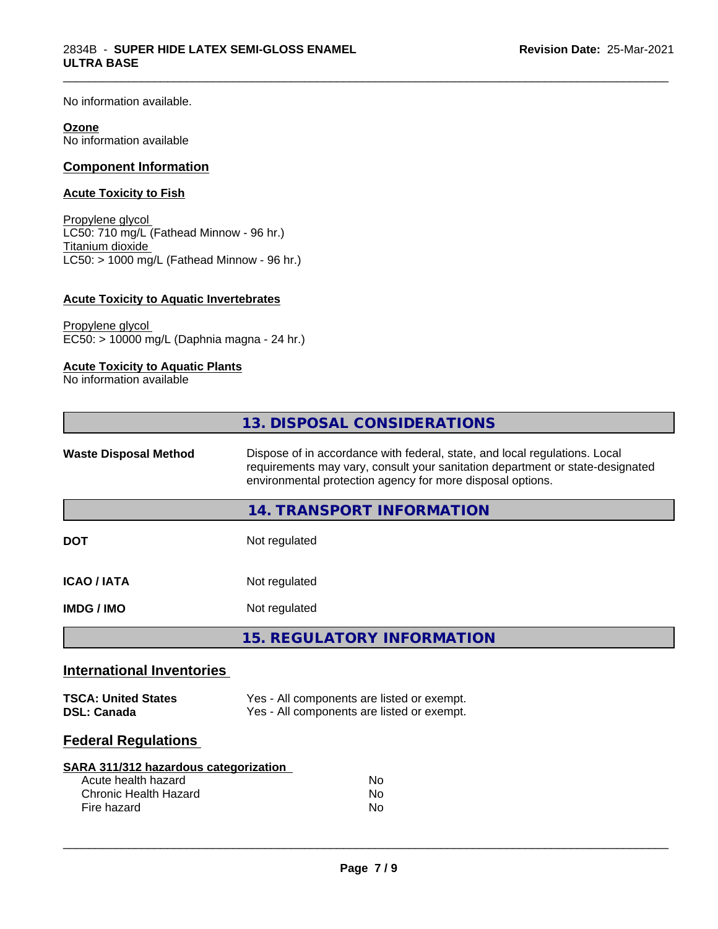No information available.

#### **Ozone**

No information available

#### **Component Information**

#### **Acute Toxicity to Fish**

Propylene glycol LC50: 710 mg/L (Fathead Minnow - 96 hr.) Titanium dioxide  $\overline{\text{LC50:}}$  > 1000 mg/L (Fathead Minnow - 96 hr.)

#### **Acute Toxicity to Aquatic Invertebrates**

Propylene glycol EC50: > 10000 mg/L (Daphnia magna - 24 hr.)

#### **Acute Toxicity to Aquatic Plants**

No information available

|                                                  | 13. DISPOSAL CONSIDERATIONS                                                                                                                                                                                               |  |
|--------------------------------------------------|---------------------------------------------------------------------------------------------------------------------------------------------------------------------------------------------------------------------------|--|
| <b>Waste Disposal Method</b>                     | Dispose of in accordance with federal, state, and local regulations. Local<br>requirements may vary, consult your sanitation department or state-designated<br>environmental protection agency for more disposal options. |  |
|                                                  | <b>14. TRANSPORT INFORMATION</b>                                                                                                                                                                                          |  |
| <b>DOT</b>                                       | Not regulated                                                                                                                                                                                                             |  |
| <b>ICAO/IATA</b>                                 | Not regulated                                                                                                                                                                                                             |  |
| <b>IMDG/IMO</b>                                  | Not regulated                                                                                                                                                                                                             |  |
|                                                  | <b>15. REGULATORY INFORMATION</b>                                                                                                                                                                                         |  |
| <b>International Inventories</b>                 |                                                                                                                                                                                                                           |  |
| <b>TSCA: United States</b><br><b>DSL: Canada</b> | Yes - All components are listed or exempt.<br>Yes - All components are listed or exempt.                                                                                                                                  |  |
| <b>Federal Regulations</b>                       |                                                                                                                                                                                                                           |  |
| SARA 311/312 hazardous categorization            |                                                                                                                                                                                                                           |  |
| Acute health hazard                              | <b>No</b>                                                                                                                                                                                                                 |  |
| <b>Chronic Health Hazard</b><br>Fire hazard      | No<br>No                                                                                                                                                                                                                  |  |

\_\_\_\_\_\_\_\_\_\_\_\_\_\_\_\_\_\_\_\_\_\_\_\_\_\_\_\_\_\_\_\_\_\_\_\_\_\_\_\_\_\_\_\_\_\_\_\_\_\_\_\_\_\_\_\_\_\_\_\_\_\_\_\_\_\_\_\_\_\_\_\_\_\_\_\_\_\_\_\_\_\_\_\_\_\_\_\_\_\_\_\_\_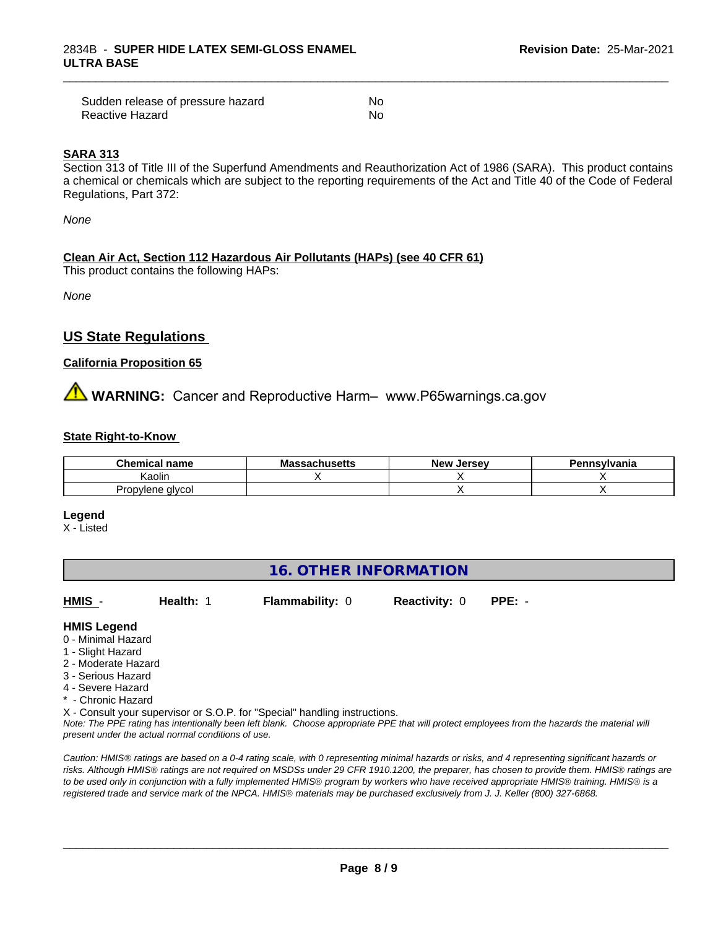| Sudden release of pressure hazard | No  |
|-----------------------------------|-----|
| Reactive Hazard                   | .No |

#### **SARA 313**

Section 313 of Title III of the Superfund Amendments and Reauthorization Act of 1986 (SARA). This product contains a chemical or chemicals which are subject to the reporting requirements of the Act and Title 40 of the Code of Federal Regulations, Part 372:

\_\_\_\_\_\_\_\_\_\_\_\_\_\_\_\_\_\_\_\_\_\_\_\_\_\_\_\_\_\_\_\_\_\_\_\_\_\_\_\_\_\_\_\_\_\_\_\_\_\_\_\_\_\_\_\_\_\_\_\_\_\_\_\_\_\_\_\_\_\_\_\_\_\_\_\_\_\_\_\_\_\_\_\_\_\_\_\_\_\_\_\_\_

*None*

#### **Clean Air Act,Section 112 Hazardous Air Pollutants (HAPs) (see 40 CFR 61)**

This product contains the following HAPs:

*None*

#### **US State Regulations**

#### **California Proposition 65**

## **AN** WARNING: Cancer and Reproductive Harm– www.P65warnings.ca.gov

#### **State Right-to-Know**

| Chem<br>name<br>mıcal | - -<br>ucatte<br>Mace<br>⊶atiluseus | . Jersev<br>/۱۵۵ | าnsvlvania |
|-----------------------|-------------------------------------|------------------|------------|
| Kaolir                |                                     |                  |            |
| alvcol<br>Propvlene   |                                     |                  |            |

**Legend**

X - Listed

### **16. OTHER INFORMATION**

**HMIS** - **Health:** 1 **Flammability:** 0 **Reactivity:** 0 **PPE:** -

 $\overline{\phantom{a}}$  ,  $\overline{\phantom{a}}$  ,  $\overline{\phantom{a}}$  ,  $\overline{\phantom{a}}$  ,  $\overline{\phantom{a}}$  ,  $\overline{\phantom{a}}$  ,  $\overline{\phantom{a}}$  ,  $\overline{\phantom{a}}$  ,  $\overline{\phantom{a}}$  ,  $\overline{\phantom{a}}$  ,  $\overline{\phantom{a}}$  ,  $\overline{\phantom{a}}$  ,  $\overline{\phantom{a}}$  ,  $\overline{\phantom{a}}$  ,  $\overline{\phantom{a}}$  ,  $\overline{\phantom{a}}$ 

**HMIS Legend**

- 0 Minimal Hazard
- 1 Slight Hazard
- 2 Moderate Hazard
- 3 Serious Hazard
- 4 Severe Hazard
- \* Chronic Hazard

X - Consult your supervisor or S.O.P. for "Special" handling instructions.

*Note: The PPE rating has intentionally been left blank. Choose appropriate PPE that will protect employees from the hazards the material will present under the actual normal conditions of use.*

*Caution: HMISÒ ratings are based on a 0-4 rating scale, with 0 representing minimal hazards or risks, and 4 representing significant hazards or risks. Although HMISÒ ratings are not required on MSDSs under 29 CFR 1910.1200, the preparer, has chosen to provide them. HMISÒ ratings are to be used only in conjunction with a fully implemented HMISÒ program by workers who have received appropriate HMISÒ training. HMISÒ is a registered trade and service mark of the NPCA. HMISÒ materials may be purchased exclusively from J. J. Keller (800) 327-6868.*